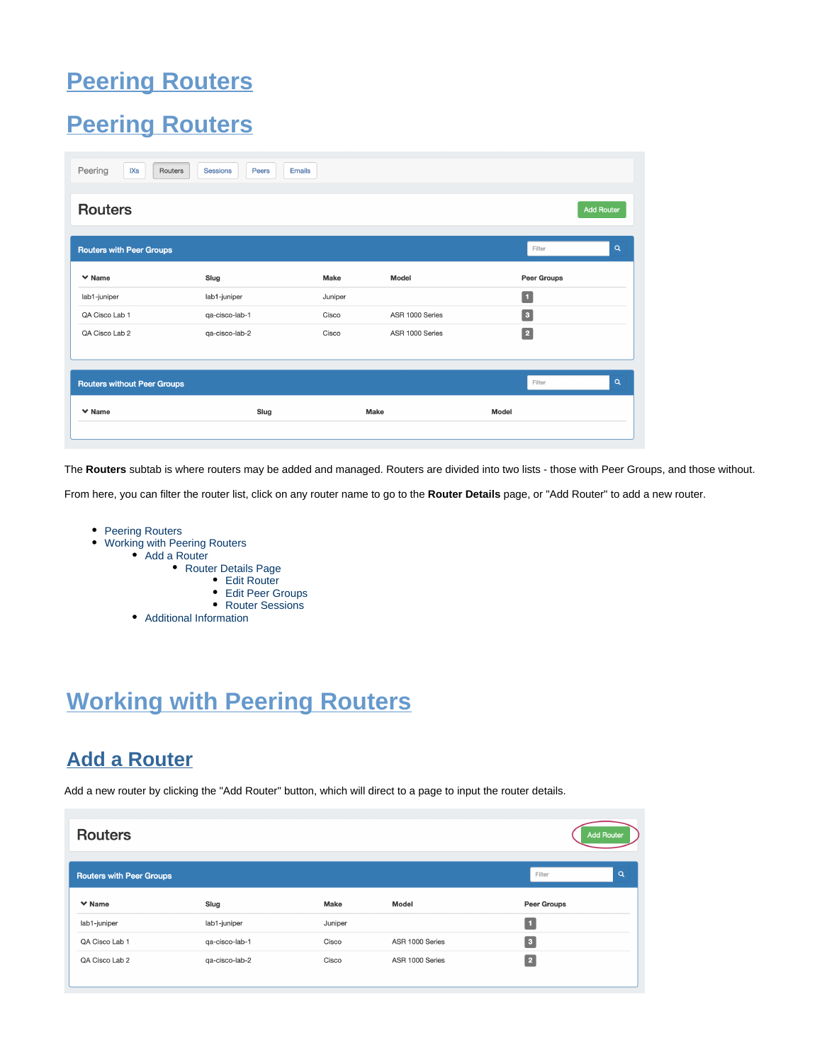# **Peering Routers**

## <span id="page-0-0"></span>**Peering Routers**

| Peering<br>IXs<br>Routers          | <b>Sessions</b><br>Peers<br><b>Emails</b> |         |                 |                       |
|------------------------------------|-------------------------------------------|---------|-----------------|-----------------------|
| <b>Routers</b>                     |                                           |         |                 | <b>Add Router</b>     |
| <b>Routers with Peer Groups</b>    |                                           |         |                 | $\alpha$<br>Filter    |
| $\vee$ Name                        | Slug                                      | Make    | Model           | <b>Peer Groups</b>    |
| lab1-juniper                       | lab1-juniper                              | Juniper |                 | Π.                    |
| QA Cisco Lab 1                     | qa-cisco-lab-1                            | Cisco   | ASR 1000 Series | $\boxed{3}$           |
| QA Cisco Lab 2                     | qa-cisco-lab-2                            | Cisco   | ASR 1000 Series | $\boxed{2}$           |
| <b>Routers without Peer Groups</b> |                                           |         |                 | $\mathsf Q$<br>Filter |
| $\vee$ Name                        | Slug                                      |         | Make            | Model                 |
|                                    |                                           |         |                 |                       |

The **Routers** subtab is where routers may be added and managed. Routers are divided into two lists - those with Peer Groups, and those without.

From here, you can filter the router list, click on any router name to go to the **Router Details** page, or "Add Router" to add a new router.

- [Peering Routers](#page-0-0)
- [Working with Peering Routers](#page-0-1)
	- [Add a Router](#page-0-2)
		- [Router Details Page](#page-1-0)
			- [Edit Router](#page-2-0)
			- [Edit Peer Groups](#page-2-1)
			- [Router Sessions](#page-3-0)
		- [Additional Information](#page-3-1)

# <span id="page-0-1"></span>**Working with Peering Routers**

## <span id="page-0-2"></span>**Add a Router**

Add a new router by clicking the "Add Router" button, which will direct to a page to input the router details.

| <b>Routers</b>                  |                |         |                 | <b>Add Router</b> |          |
|---------------------------------|----------------|---------|-----------------|-------------------|----------|
| <b>Routers with Peer Groups</b> |                |         |                 | Filter            | $\alpha$ |
| $\vee$ Name                     | Slug           | Make    | Model           | Peer Groups       |          |
| lab1-juniper                    | lab1-juniper   | Juniper |                 |                   |          |
| QA Cisco Lab 1                  | qa-cisco-lab-1 | Cisco   | ASR 1000 Series | 3                 |          |
| QA Cisco Lab 2                  | qa-cisco-lab-2 | Cisco   | ASR 1000 Series | $\sqrt{2}$        |          |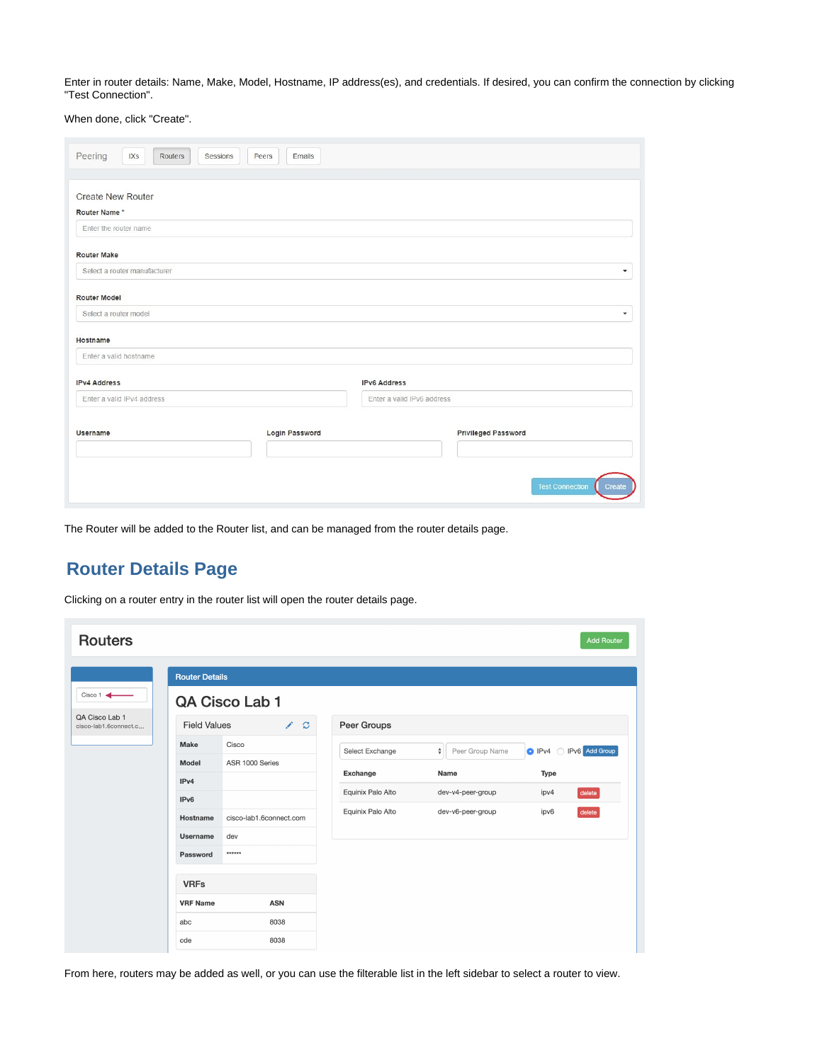Enter in router details: Name, Make, Model, Hostname, IP address(es), and credentials. If desired, you can confirm the connection by clicking "Test Connection".

When done, click "Create".

| Peering<br>IXs<br>Routers<br>Sessions    | Peers<br>Emails       |                            |                                         |
|------------------------------------------|-----------------------|----------------------------|-----------------------------------------|
| <b>Create New Router</b><br>Router Name* |                       |                            |                                         |
| Enter the router name                    |                       |                            |                                         |
| <b>Router Make</b>                       |                       |                            |                                         |
| Select a router manufacturer             |                       |                            |                                         |
| <b>Router Model</b>                      |                       |                            |                                         |
| Select a router model                    |                       |                            |                                         |
| Hostname                                 |                       |                            |                                         |
| Enter a valid hostname                   |                       |                            |                                         |
| <b>IPv4 Address</b>                      |                       | <b>IPv6 Address</b>        |                                         |
| Enter a valid IPv4 address               |                       | Enter a valid IPv6 address |                                         |
| Username                                 | <b>Login Password</b> |                            | <b>Privileged Password</b>              |
|                                          |                       |                            |                                         |
|                                          |                       |                            |                                         |
|                                          |                       |                            | <b>Test Connection</b><br><b>Create</b> |

The Router will be added to the Router list, and can be managed from the router details page.

### <span id="page-1-0"></span>**Router Details Page**

| <b>Routers</b>                          |                                      |                           |                   |                                       | <b>Add Router</b>                              |
|-----------------------------------------|--------------------------------------|---------------------------|-------------------|---------------------------------------|------------------------------------------------|
|                                         | <b>Router Details</b>                |                           |                   |                                       |                                                |
| Cisco 1                                 |                                      | QA Cisco Lab 1            |                   |                                       |                                                |
| QA Cisco Lab 1<br>cisco-lab1.6connect.c | <b>Field Values</b>                  | <b>S</b><br>$\mathcal{C}$ | Peer Groups       |                                       |                                                |
|                                         | Make                                 | Cisco                     | Select Exchange   | $\hat{\mathbf{v}}$<br>Peer Group Name | IPv6 Add Group<br>$\bullet$ IPv4<br>$\bigcirc$ |
|                                         | Model                                | ASR 1000 Series           | Exchange          | Name                                  | Type                                           |
|                                         | IP <sub>v4</sub><br>IP <sub>v6</sub> |                           | Equinix Palo Alto | dev-v4-peer-group                     | ipv4<br>delete                                 |
|                                         | Hostname                             | cisco-lab1.6connect.com   | Equinix Palo Alto | dev-v6-peer-group                     | ipv6<br>delete                                 |
|                                         | Username                             | dev                       |                   |                                       |                                                |
|                                         | Password                             | ******                    |                   |                                       |                                                |
|                                         | <b>VRFs</b>                          |                           |                   |                                       |                                                |
|                                         | <b>VRF Name</b>                      | <b>ASN</b>                |                   |                                       |                                                |
|                                         | abc                                  | 8038                      |                   |                                       |                                                |
|                                         | cde                                  | 8038                      |                   |                                       |                                                |

Clicking on a router entry in the router list will open the router details page.

From here, routers may be added as well, or you can use the filterable list in the left sidebar to select a router to view.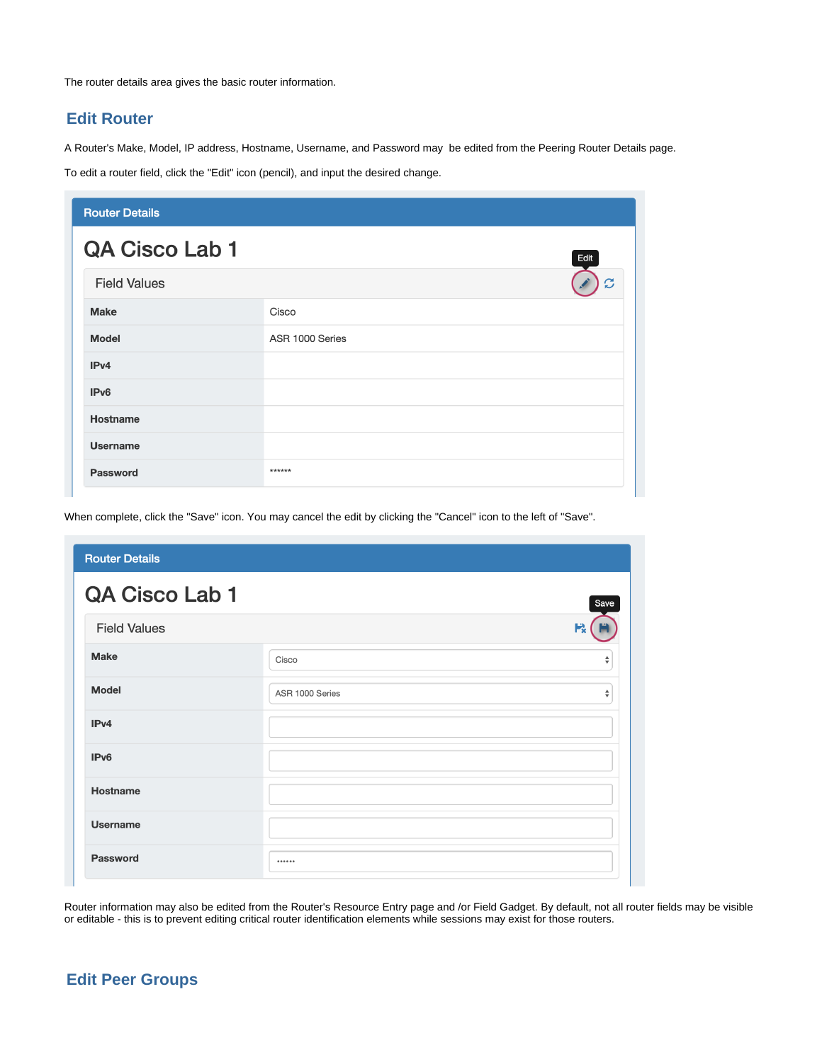The router details area gives the basic router information.

### <span id="page-2-0"></span>**Edit Router**

A Router's Make, Model, IP address, Hostname, Username, and Password may be edited from the Peering Router Details page.

To edit a router field, click the "Edit" icon (pencil), and input the desired change.

| <b>Router Details</b> |                 |
|-----------------------|-----------------|
| <b>QA Cisco Lab 1</b> | Edit            |
| <b>Field Values</b>   | C               |
| <b>Make</b>           | Cisco           |
| <b>Model</b>          | ASR 1000 Series |
| IP <sub>v4</sub>      |                 |
| IP <sub>v6</sub>      |                 |
| Hostname              |                 |
| <b>Username</b>       |                 |
| <b>Password</b>       | ******          |

When complete, click the "Save" icon. You may cancel the edit by clicking the "Cancel" icon to the left of "Save".

| <b>Router Details</b> |                 |        |
|-----------------------|-----------------|--------|
| QA Cisco Lab 1        |                 | Save   |
| <b>Field Values</b>   |                 | к      |
| <b>Make</b>           | Cisco           | ÷      |
| <b>Model</b>          | ASR 1000 Series | $\div$ |
| IPv4                  |                 |        |
| IPv6                  |                 |        |
| <b>Hostname</b>       |                 |        |
| <b>Username</b>       |                 |        |
| <b>Password</b>       |                 |        |

Router information may also be edited from the Router's Resource Entry page and /or Field Gadget. By default, not all router fields may be visible or editable - this is to prevent editing critical router identification elements while sessions may exist for those routers.

### <span id="page-2-1"></span>**Edit Peer Groups**